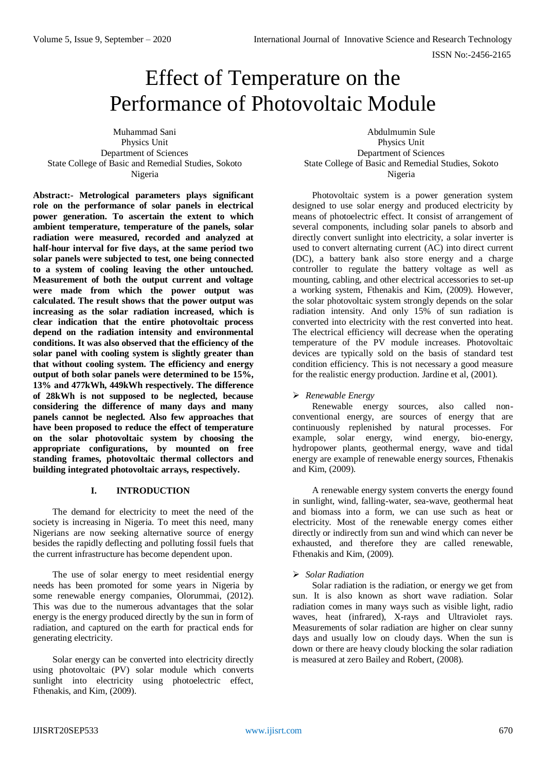# Effect of Temperature on the Performance of Photovoltaic Module

Muhammad Sani Physics Unit Department of Sciences State College of Basic and Remedial Studies, Sokoto Nigeria

**Abstract:- Metrological parameters plays significant role on the performance of solar panels in electrical power generation. To ascertain the extent to which ambient temperature, temperature of the panels, solar radiation were measured, recorded and analyzed at half-hour interval for five days, at the same period two solar panels were subjected to test, one being connected to a system of cooling leaving the other untouched. Measurement of both the output current and voltage were made from which the power output was calculated. The result shows that the power output was increasing as the solar radiation increased, which is clear indication that the entire photovoltaic process depend on the radiation intensity and environmental conditions. It was also observed that the efficiency of the solar panel with cooling system is slightly greater than that without cooling system. The efficiency and energy output of both solar panels were determined to be 15%, 13% and 477kWh, 449kWh respectively. The difference of 28kWh is not supposed to be neglected, because considering the difference of many days and many panels cannot be neglected. Also few approaches that have been proposed to reduce the effect of temperature on the solar photovoltaic system by choosing the appropriate configurations, by mounted on free standing frames, photovoltaic thermal collectors and building integrated photovoltaic arrays, respectively.**

## **I. INTRODUCTION**

The demand for electricity to meet the need of the society is increasing in Nigeria. To meet this need, many Nigerians are now seeking alternative source of energy besides the rapidly deflecting and polluting fossil fuels that the current infrastructure has become dependent upon.

The use of solar energy to meet residential energy needs has been promoted for some years in Nigeria by some renewable energy companies, Olorummai, (2012). This was due to the numerous advantages that the solar energy is the energy produced directly by the sun in form of radiation, and captured on the earth for practical ends for generating electricity.

Solar energy can be converted into electricity directly using photovoltaic (PV) solar module which converts sunlight into electricity using photoelectric effect, Fthenakis, and Kim, (2009).

Abdulmumin Sule Physics Unit Department of Sciences State College of Basic and Remedial Studies, Sokoto Nigeria

Photovoltaic system is a power generation system designed to use solar energy and produced electricity by means of photoelectric effect. It consist of arrangement of several components, including solar panels to absorb and directly convert sunlight into electricity, a solar inverter is used to convert alternating current (AC) into direct current (DC), a battery bank also store energy and a charge controller to regulate the battery voltage as well as mounting, cabling, and other electrical accessories to set-up a working system, Fthenakis and Kim, (2009). However, the solar photovoltaic system strongly depends on the solar radiation intensity. And only 15% of sun radiation is converted into electricity with the rest converted into heat. The electrical efficiency will decrease when the operating temperature of the PV module increases. Photovoltaic devices are typically sold on the basis of standard test condition efficiency. This is not necessary a good measure for the realistic energy production. Jardine et al, (2001).

# *Renewable Energy*

Renewable energy sources, also called nonconventional energy, are sources of energy that are continuously replenished by natural processes. For example, solar energy, wind energy, bio-energy, hydropower plants, geothermal energy, wave and tidal energy are example of renewable energy sources, Fthenakis and Kim, (2009).

A renewable energy system converts the energy found in sunlight, wind, falling-water, sea-wave, geothermal heat and biomass into a form, we can use such as heat or electricity. Most of the renewable energy comes either directly or indirectly from sun and wind which can never be exhausted, and therefore they are called renewable, Fthenakis and Kim, (2009).

## *Solar Radiation*

Solar radiation is the radiation, or energy we get from sun. It is also known as short wave radiation. Solar radiation comes in many ways such as visible light, radio waves, heat (infrared), X-rays and Ultraviolet rays. Measurements of solar radiation are higher on clear sunny days and usually low on cloudy days. When the sun is down or there are heavy cloudy blocking the solar radiation is measured at zero Bailey and Robert, (2008).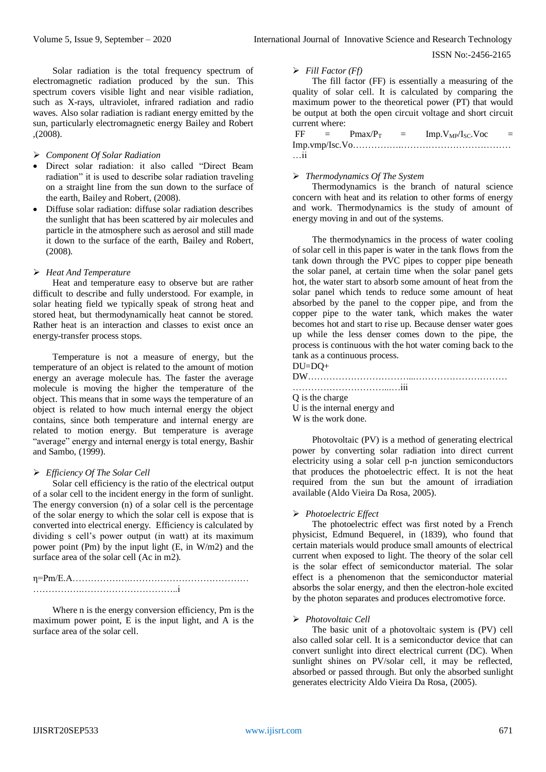ISSN No:-2456-2165

Solar radiation is the total frequency spectrum of electromagnetic radiation produced by the sun. This spectrum covers visible light and near visible radiation, such as X-rays, ultraviolet, infrared radiation and radio waves. Also solar radiation is radiant energy emitted by the sun, particularly electromagnetic energy Bailey and Robert ,(2008).

## *Component Of Solar Radiation*

- Direct solar radiation: it also called "Direct Beam radiation" it is used to describe solar radiation traveling on a straight line from the sun down to the surface of the earth, Bailey and Robert, (2008).
- Diffuse solar radiation: diffuse solar radiation describes the sunlight that has been scattered by air molecules and particle in the atmosphere such as aerosol and still made it down to the surface of the earth, Bailey and Robert, (2008).

## *Heat And Temperature*

Heat and temperature easy to observe but are rather difficult to describe and fully understood. For example, in solar heating field we typically speak of strong heat and stored heat, but thermodynamically heat cannot be stored. Rather heat is an interaction and classes to exist once an energy-transfer process stops.

Temperature is not a measure of energy, but the temperature of an object is related to the amount of motion energy an average molecule has. The faster the average molecule is moving the higher the temperature of the object. This means that in some ways the temperature of an object is related to how much internal energy the object contains, since both temperature and internal energy are related to motion energy. But temperature is average "average" energy and internal energy is total energy, Bashir and Sambo, (1999).

## *Efficiency Of The Solar Cell*

Solar cell efficiency is the ratio of the electrical output of a solar cell to the incident energy in the form of sunlight. The energy conversion (n) of a solar cell is the percentage of the solar energy to which the solar cell is expose that is converted into electrical energy. Efficiency is calculated by dividing s cell's power output (in watt) at its maximum power point (Pm) by the input light (E, in W/m2) and the surface area of the solar cell (Ac in m2).

## η=Pm/E.A……………….………………………………… …………….…………………………..i

Where n is the energy conversion efficiency, Pm is the maximum power point, E is the input light, and A is the surface area of the solar cell.

## *Fill Factor (Ff)*

The fill factor (FF) is essentially a measuring of the quality of solar cell. It is calculated by comparing the maximum power to the theoretical power (PT) that would be output at both the open circuit voltage and short circuit current where:

| FF                   | $\equiv$ $\equiv$ | $Pmax/P_T$ | $\alpha = 1$ | Imp.V <sub>MP</sub> /I <sub>SC</sub> .Voc |  |
|----------------------|-------------------|------------|--------------|-------------------------------------------|--|
| $\ddot{\phantom{a}}$ |                   |            |              |                                           |  |
| $\dots$ 11           |                   |            |              |                                           |  |

## *Thermodynamics Of The System*

Thermodynamics is the branch of natural science concern with heat and its relation to other forms of energy and work. Thermodynamics is the study of amount of energy moving in and out of the systems.

The thermodynamics in the process of water cooling of solar cell in this paper is water in the tank flows from the tank down through the PVC pipes to copper pipe beneath the solar panel, at certain time when the solar panel gets hot, the water start to absorb some amount of heat from the solar panel which tends to reduce some amount of heat absorbed by the panel to the copper pipe, and from the copper pipe to the water tank, which makes the water becomes hot and start to rise up. Because denser water goes up while the less denser comes down to the pipe, the process is continuous with the hot water coming back to the tank as a continuous process.

DU=DQ+

# DW……………………………...…………………………

…………………………...…iii Q is the charge

U is the internal energy and W is the work done.

Photovoltaic (PV) is a method of generating electrical power by converting solar radiation into direct current electricity using a solar cell p-n junction semiconductors that produces the photoelectric effect. It is not the heat required from the sun but the amount of irradiation available (Aldo Vieira Da Rosa, 2005).

# *Photoelectric Effect*

The photoelectric effect was first noted by a French physicist, Edmund Bequerel, in (1839), who found that certain materials would produce small amounts of electrical current when exposed to light. The theory of the solar cell is the solar effect of semiconductor material. The solar effect is a phenomenon that the semiconductor material absorbs the solar energy, and then the electron-hole excited by the photon separates and produces electromotive force.

## *Photovoltaic Cell*

The basic unit of a photovoltaic system is (PV) cell also called solar cell. It is a semiconductor device that can convert sunlight into direct electrical current (DC). When sunlight shines on PV/solar cell, it may be reflected, absorbed or passed through. But only the absorbed sunlight generates electricity Aldo Vieira Da Rosa, (2005).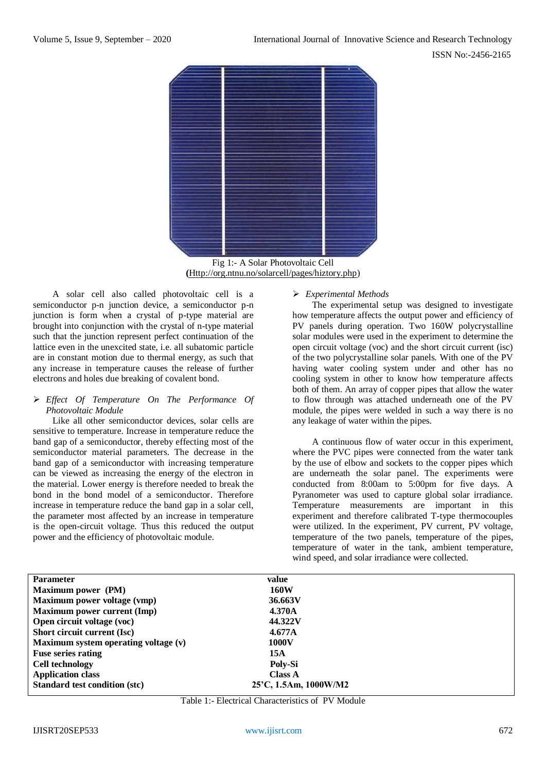

Fig 1:- A Solar Photovoltaic Cell **(**[Http://org.ntnu.no/solarcell/pages/hiztory.php\)](http://org.ntnu.no/solarcell/pages/hiztory.php)

A solar cell also called photovoltaic cell is a semiconductor p-n junction device, a semiconductor p-n junction is form when a crystal of p-type material are brought into conjunction with the crystal of n-type material such that the junction represent perfect continuation of the lattice even in the unexcited state, i.e. all subatomic particle are in constant motion due to thermal energy, as such that any increase in temperature causes the release of further electrons and holes due breaking of covalent bond.

## *Effect Of Temperature On The Performance Of Photovoltaic Module*

Like all other semiconductor devices, solar cells are sensitive to temperature. Increase in temperature reduce the band gap of a semiconductor, thereby effecting most of the semiconductor material parameters. The decrease in the band gap of a semiconductor with increasing temperature can be viewed as increasing the energy of the electron in the material. Lower energy is therefore needed to break the bond in the bond model of a semiconductor. Therefore increase in temperature reduce the band gap in a solar cell, the parameter most affected by an increase in temperature is the open-circuit voltage. Thus this reduced the output power and the efficiency of photovoltaic module.

# *Experimental Methods*

The experimental setup was designed to investigate how temperature affects the output power and efficiency of PV panels during operation. Two 160W polycrystalline solar modules were used in the experiment to determine the open circuit voltage (voc) and the short circuit current (isc) of the two polycrystalline solar panels. With one of the PV having water cooling system under and other has no cooling system in other to know how temperature affects both of them. An array of copper pipes that allow the water to flow through was attached underneath one of the PV module, the pipes were welded in such a way there is no any leakage of water within the pipes.

A continuous flow of water occur in this experiment, where the PVC pipes were connected from the water tank by the use of elbow and sockets to the copper pipes which are underneath the solar panel. The experiments were conducted from 8:00am to 5:00pm for five days. A Pyranometer was used to capture global solar irradiance. Temperature measurements are important in this experiment and therefore calibrated T-type thermocouples were utilized. In the experiment, PV current, PV voltage, temperature of the two panels, temperature of the pipes, temperature of water in the tank, ambient temperature, wind speed, and solar irradiance were collected.

| <b>Parameter</b>                     | value                 |
|--------------------------------------|-----------------------|
| Maximum power (PM)                   | 160W                  |
| Maximum power voltage (vmp)          | 36.663V               |
| <b>Maximum power current (Imp)</b>   | 4.370A                |
| Open circuit voltage (voc)           | 44.322V               |
| Short circuit current (Isc)          | 4.677A                |
| Maximum system operating voltage (v) | 1000V                 |
| <b>Fuse series rating</b>            | 15A                   |
| <b>Cell technology</b>               | Poly-Si               |
| <b>Application class</b>             | Class A               |
| <b>Standard test condition (stc)</b> | 25'C, 1.5Am, 1000W/M2 |

Table 1:- Electrical Characteristics of PV Module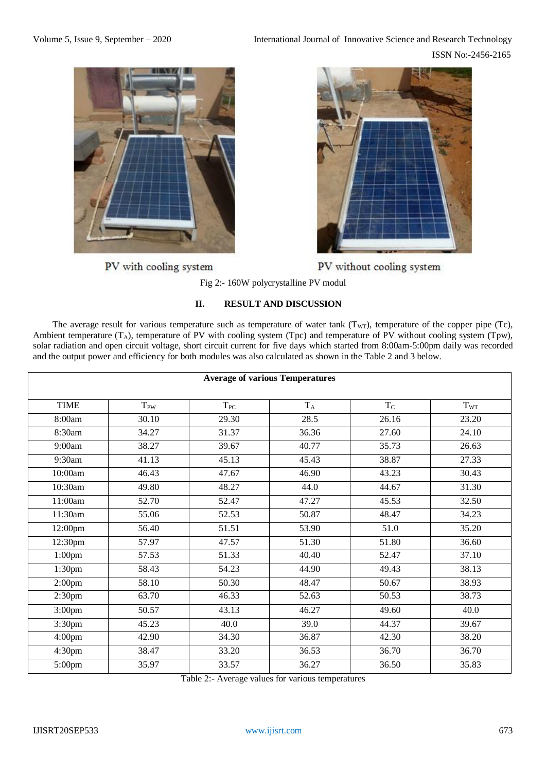

PV with cooling system



PV without cooling system

Fig 2:- 160W polycrystalline PV modul

# **II. RESULT AND DISCUSSION**

The average result for various temperature such as temperature of water tank  $(T_{WT})$ , temperature of the copper pipe (Tc), Ambient temperature  $(T_A)$ , temperature of PV with cooling system (Tpc) and temperature of PV without cooling system (Tpw), solar radiation and open circuit voltage, short circuit current for five days which started from 8:00am-5:00pm daily was recorded and the output power and efficiency for both modules was also calculated as shown in the Table 2 and 3 below.

| <b>Average of various Temperatures</b> |          |          |       |           |          |  |
|----------------------------------------|----------|----------|-------|-----------|----------|--|
| <b>TIME</b>                            | $T_{PW}$ | $T_{PC}$ | $T_A$ | $\rm T_C$ | $T_{WT}$ |  |
| 8:00am                                 | 30.10    | 29.30    | 28.5  | 26.16     | 23.20    |  |
| 8:30am                                 | 34.27    | 31.37    | 36.36 | 27.60     | 24.10    |  |
| 9:00am                                 | 38.27    | 39.67    | 40.77 | 35.73     | 26.63    |  |
| 9:30am                                 | 41.13    | 45.13    | 45.43 | 38.87     | 27.33    |  |
| 10:00am                                | 46.43    | 47.67    | 46.90 | 43.23     | 30.43    |  |
| 10:30am                                | 49.80    | 48.27    | 44.0  | 44.67     | 31.30    |  |
| 11:00am                                | 52.70    | 52.47    | 47.27 | 45.53     | 32.50    |  |
| 11:30am                                | 55.06    | 52.53    | 50.87 | 48.47     | 34.23    |  |
| 12:00pm                                | 56.40    | 51.51    | 53.90 | 51.0      | 35.20    |  |
| 12:30pm                                | 57.97    | 47.57    | 51.30 | 51.80     | 36.60    |  |
| $1:00$ pm                              | 57.53    | 51.33    | 40.40 | 52.47     | 37.10    |  |
| 1:30 <sub>pm</sub>                     | 58.43    | 54.23    | 44.90 | 49.43     | 38.13    |  |
| 2:00 <sub>pm</sub>                     | 58.10    | 50.30    | 48.47 | 50.67     | 38.93    |  |
| 2:30 <sub>pm</sub>                     | 63.70    | 46.33    | 52.63 | 50.53     | 38.73    |  |
| 3:00 <sub>pm</sub>                     | 50.57    | 43.13    | 46.27 | 49.60     | 40.0     |  |
| 3:30pm                                 | 45.23    | 40.0     | 39.0  | 44.37     | 39.67    |  |
| 4:00 <sub>pm</sub>                     | 42.90    | 34.30    | 36.87 | 42.30     | 38.20    |  |
| 4:30 <sub>pm</sub>                     | 38.47    | 33.20    | 36.53 | 36.70     | 36.70    |  |
| 5:00pm                                 | 35.97    | 33.57    | 36.27 | 36.50     | 35.83    |  |

Table 2:- Average values for various temperatures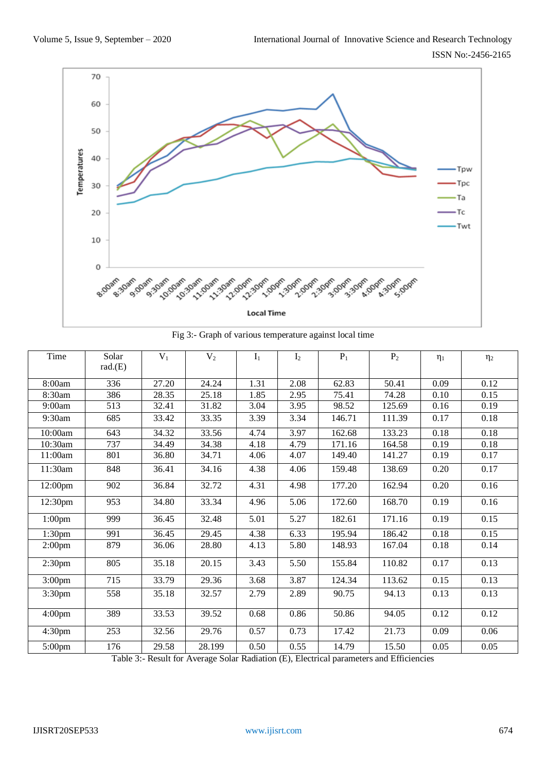

Fig 3:- Graph of various temperature against local time

| Time               | Solar<br>rad(E) | $V_1$ | V <sub>2</sub> | I <sub>1</sub> | I <sub>2</sub> | $P_1$  | P <sub>2</sub> | $\eta_1$ | $\eta_2$ |
|--------------------|-----------------|-------|----------------|----------------|----------------|--------|----------------|----------|----------|
|                    |                 |       |                |                |                |        |                |          |          |
| 8:00am             | 336             | 27.20 | 24.24          | 1.31           | 2.08           | 62.83  | 50.41          | 0.09     | 0.12     |
| 8:30am             | 386             | 28.35 | 25.18          | 1.85           | 2.95           | 75.41  | 74.28          | 0.10     | 0.15     |
| 9:00am             | 513             | 32.41 | 31.82          | 3.04           | 3.95           | 98.52  | 125.69         | 0.16     | 0.19     |
| 9:30am             | 685             | 33.42 | 33.35          | 3.39           | 3.34           | 146.71 | 111.39         | 0.17     | 0.18     |
| 10:00am            | 643             | 34.32 | 33.56          | 4.74           | 3.97           | 162.68 | 133.23         | 0.18     | 0.18     |
| 10:30am            | 737             | 34.49 | 34.38          | 4.18           | 4.79           | 171.16 | 164.58         | 0.19     | 0.18     |
| 11:00am            | 801             | 36.80 | 34.71          | 4.06           | 4.07           | 149.40 | 141.27         | 0.19     | 0.17     |
| 11:30am            | 848             | 36.41 | 34.16          | 4.38           | 4.06           | 159.48 | 138.69         | 0.20     | 0.17     |
| 12:00pm            | 902             | 36.84 | 32.72          | 4.31           | 4.98           | 177.20 | 162.94         | 0.20     | 0.16     |
| 12:30pm            | 953             | 34.80 | 33.34          | 4.96           | 5.06           | 172.60 | 168.70         | 0.19     | 0.16     |
| $1:00$ pm          | 999             | 36.45 | 32.48          | 5.01           | 5.27           | 182.61 | 171.16         | 0.19     | 0.15     |
| 1:30 <sub>pm</sub> | 991             | 36.45 | 29.45          | 4.38           | 6.33           | 195.94 | 186.42         | 0.18     | 0.15     |
| 2:00 <sub>pm</sub> | 879             | 36.06 | 28.80          | 4.13           | 5.80           | 148.93 | 167.04         | 0.18     | 0.14     |
| 2:30 <sub>pm</sub> | 805             | 35.18 | 20.15          | 3.43           | 5.50           | 155.84 | 110.82         | 0.17     | 0.13     |
| 3:00 <sub>pm</sub> | 715             | 33.79 | 29.36          | 3.68           | 3.87           | 124.34 | 113.62         | 0.15     | 0.13     |
| 3:30pm             | 558             | 35.18 | 32.57          | 2.79           | 2.89           | 90.75  | 94.13          | 0.13     | 0.13     |
| 4:00 <sub>pm</sub> | 389             | 33.53 | 39.52          | 0.68           | 0.86           | 50.86  | 94.05          | 0.12     | 0.12     |
| 4:30 <sub>pm</sub> | 253             | 32.56 | 29.76          | 0.57           | 0.73           | 17.42  | 21.73          | 0.09     | 0.06     |
| $5:00$ pm          | 176             | 29.58 | 28.199         | 0.50           | 0.55           | 14.79  | 15.50          | 0.05     | 0.05     |

Table 3:- Result for Average Solar Radiation (E), Electrical parameters and Efficiencies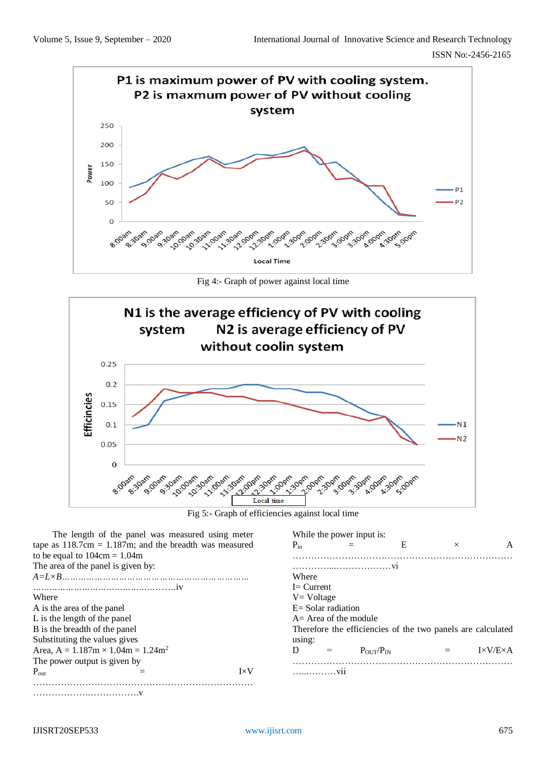

Fig 4:- Graph of power against local time



Fig 5:- Graph of efficiencies against local time

| The length of the panel was measured using meter          | While the power input is:                                      |  |  |  |  |  |
|-----------------------------------------------------------|----------------------------------------------------------------|--|--|--|--|--|
| tape as $118.7cm = 1.187m$ ; and the breadth was measured | E<br>$P_{in}$<br>$\times$<br>A                                 |  |  |  |  |  |
| to be equal to $104 \text{cm} = 1.04 \text{m}$            |                                                                |  |  |  |  |  |
| The area of the panel is given by:                        |                                                                |  |  |  |  |  |
|                                                           | Where                                                          |  |  |  |  |  |
|                                                           | $I = Current$                                                  |  |  |  |  |  |
| Where                                                     | $V = Voltage$                                                  |  |  |  |  |  |
| A is the area of the panel                                | $E =$ Solar radiation                                          |  |  |  |  |  |
| L is the length of the panel                              | $A = Area of the module$                                       |  |  |  |  |  |
| B is the breadth of the panel                             | Therefore the efficiencies of the two panels are calculated    |  |  |  |  |  |
| Substituting the values gives                             | using:                                                         |  |  |  |  |  |
| Area, $A = 1.187m \times 1.04m = 1.24m^2$                 | $I \times V/E \times A$<br>$P_{\text{OUT}}/P_{\text{IN}}$<br>Ŋ |  |  |  |  |  |
| The power output is given by                              |                                                                |  |  |  |  |  |
| $I \times V$<br>$P_{out}$                                 | . V11                                                          |  |  |  |  |  |
|                                                           |                                                                |  |  |  |  |  |

……………………………v